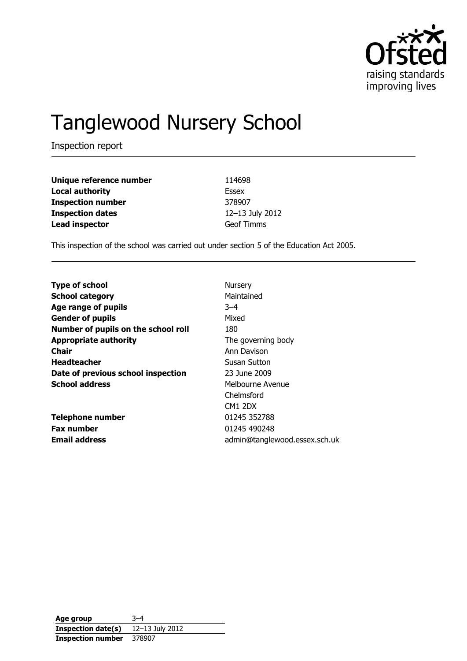

# Tanglewood Nursery School

Inspection report

| Unique reference number  | 114698            |
|--------------------------|-------------------|
| <b>Local authority</b>   | Essex             |
| <b>Inspection number</b> | 378907            |
| <b>Inspection dates</b>  | 12-13 July 2012   |
| <b>Lead inspector</b>    | <b>Geof Timms</b> |

This inspection of the school was carried out under section 5 of the Education Act 2005.

| <b>Type of school</b>               | <b>Nursery</b>                |
|-------------------------------------|-------------------------------|
| <b>School category</b>              | Maintained                    |
| Age range of pupils                 | $-4$                          |
| <b>Gender of pupils</b>             | Mixed                         |
| Number of pupils on the school roll | 180                           |
| <b>Appropriate authority</b>        | The governing body            |
| <b>Chair</b>                        | Ann Davison                   |
| <b>Headteacher</b>                  | Susan Sutton                  |
| Date of previous school inspection  | 23 June 2009                  |
| <b>School address</b>               | Melbourne Avenue              |
|                                     | Chelmsford                    |
|                                     | CM1 2DX                       |
| <b>Telephone number</b>             | 01245 352788                  |
| <b>Fax number</b>                   | 01245 490248                  |
| <b>Email address</b>                | admin@tanglewood.essex.sch.uk |

**Age group** 3–4 **Inspection date(s)** 12–13 July 2012 **Inspection number** 378907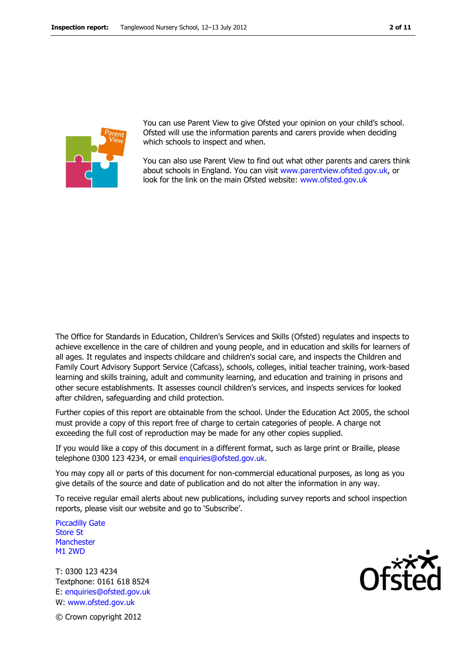

You can use Parent View to give Ofsted your opinion on your child's school. Ofsted will use the information parents and carers provide when deciding which schools to inspect and when.

You can also use Parent View to find out what other parents and carers think about schools in England. You can visit [www.parentview.ofsted.gov.uk,](http://www.parentview.ofsted.gov.uk/) or look for the link on the main Ofsted website: [www.ofsted.gov.uk](http://www.ofsted.gov.uk/)

The Office for Standards in Education, Children's Services and Skills (Ofsted) regulates and inspects to achieve excellence in the care of children and young people, and in education and skills for learners of all ages. It regulates and inspects childcare and children's social care, and inspects the Children and Family Court Advisory Support Service (Cafcass), schools, colleges, initial teacher training, work-based learning and skills training, adult and community learning, and education and training in prisons and other secure establishments. It assesses council children's services, and inspects services for looked after children, safeguarding and child protection.

Further copies of this report are obtainable from the school. Under the Education Act 2005, the school must provide a copy of this report free of charge to certain categories of people. A charge not exceeding the full cost of reproduction may be made for any other copies supplied.

If you would like a copy of this document in a different format, such as large print or Braille, please telephone 0300 123 4234, or email enquiries@ofsted.gov.uk.

You may copy all or parts of this document for non-commercial educational purposes, as long as you give details of the source and date of publication and do not alter the information in any way.

To receive regular email alerts about new publications, including survey reports and school inspection reports, please visit our website and go to 'Subscribe'.

Piccadilly Gate Store St **Manchester** M1 2WD

T: 0300 123 4234 Textphone: 0161 618 8524 E: enquiries@ofsted.gov.uk W: www.ofsted.gov.uk

© Crown copyright 2012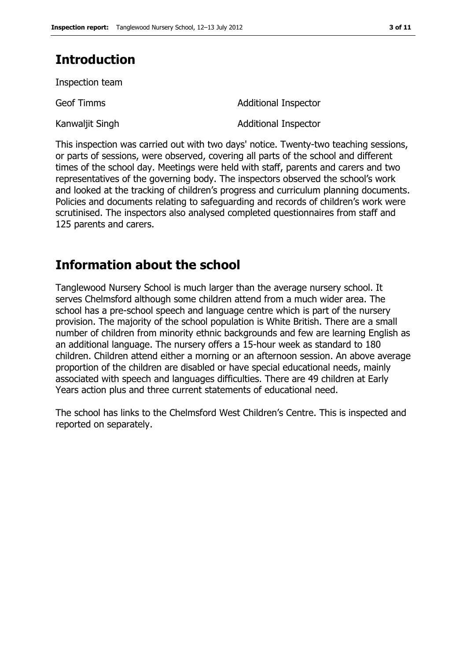# **Introduction**

Inspection team

Kanwaljit Singh **Additional Inspector** 

Geof Timms **Additional Inspector** 

This inspection was carried out with two days' notice. Twenty-two teaching sessions, or parts of sessions, were observed, covering all parts of the school and different times of the school day. Meetings were held with staff, parents and carers and two representatives of the governing body. The inspectors observed the school's work and looked at the tracking of children's progress and curriculum planning documents. Policies and documents relating to safeguarding and records of children's work were scrutinised. The inspectors also analysed completed questionnaires from staff and 125 parents and carers.

# **Information about the school**

Tanglewood Nursery School is much larger than the average nursery school. It serves Chelmsford although some children attend from a much wider area. The school has a pre-school speech and language centre which is part of the nursery provision. The majority of the school population is White British. There are a small number of children from minority ethnic backgrounds and few are learning English as an additional language. The nursery offers a 15-hour week as standard to 180 children. Children attend either a morning or an afternoon session. An above average proportion of the children are disabled or have special educational needs, mainly associated with speech and languages difficulties. There are 49 children at Early Years action plus and three current statements of educational need.

The school has links to the Chelmsford West Children's Centre. This is inspected and reported on separately.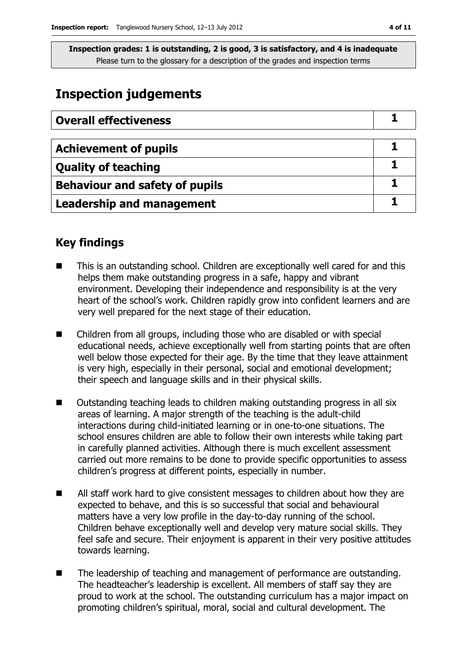### **Inspection judgements**

| <b>Overall effectiveness</b>          |  |
|---------------------------------------|--|
|                                       |  |
| <b>Achievement of pupils</b>          |  |
| <b>Quality of teaching</b>            |  |
| <b>Behaviour and safety of pupils</b> |  |
| <b>Leadership and management</b>      |  |

### **Key findings**

- This is an outstanding school. Children are exceptionally well cared for and this helps them make outstanding progress in a safe, happy and vibrant environment. Developing their independence and responsibility is at the very heart of the school's work. Children rapidly grow into confident learners and are very well prepared for the next stage of their education.
- Children from all groups, including those who are disabled or with special educational needs, achieve exceptionally well from starting points that are often well below those expected for their age. By the time that they leave attainment is very high, especially in their personal, social and emotional development; their speech and language skills and in their physical skills.
- Outstanding teaching leads to children making outstanding progress in all six areas of learning. A major strength of the teaching is the adult-child interactions during child-initiated learning or in one-to-one situations. The school ensures children are able to follow their own interests while taking part in carefully planned activities. Although there is much excellent assessment carried out more remains to be done to provide specific opportunities to assess children's progress at different points, especially in number.
- All staff work hard to give consistent messages to children about how they are expected to behave, and this is so successful that social and behavioural matters have a very low profile in the day-to-day running of the school. Children behave exceptionally well and develop very mature social skills. They feel safe and secure. Their enjoyment is apparent in their very positive attitudes towards learning.
- The leadership of teaching and management of performance are outstanding. The headteacher's leadership is excellent. All members of staff say they are proud to work at the school. The outstanding curriculum has a major impact on promoting children's spiritual, moral, social and cultural development. The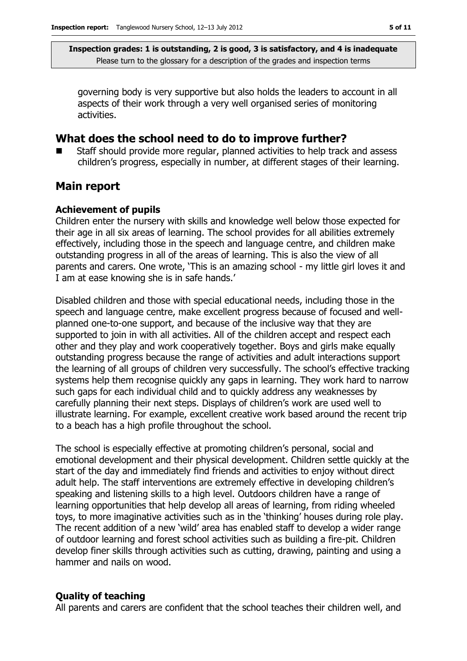governing body is very supportive but also holds the leaders to account in all aspects of their work through a very well organised series of monitoring activities.

### **What does the school need to do to improve further?**

 Staff should provide more regular, planned activities to help track and assess children's progress, especially in number, at different stages of their learning.

### **Main report**

#### **Achievement of pupils**

Children enter the nursery with skills and knowledge well below those expected for their age in all six areas of learning. The school provides for all abilities extremely effectively, including those in the speech and language centre, and children make outstanding progress in all of the areas of learning. This is also the view of all parents and carers. One wrote, 'This is an amazing school - my little girl loves it and I am at ease knowing she is in safe hands.'

Disabled children and those with special educational needs, including those in the speech and language centre, make excellent progress because of focused and wellplanned one-to-one support, and because of the inclusive way that they are supported to join in with all activities. All of the children accept and respect each other and they play and work cooperatively together. Boys and girls make equally outstanding progress because the range of activities and adult interactions support the learning of all groups of children very successfully. The school's effective tracking systems help them recognise quickly any gaps in learning. They work hard to narrow such gaps for each individual child and to quickly address any weaknesses by carefully planning their next steps. Displays of children's work are used well to illustrate learning. For example, excellent creative work based around the recent trip to a beach has a high profile throughout the school.

The school is especially effective at promoting children's personal, social and emotional development and their physical development. Children settle quickly at the start of the day and immediately find friends and activities to enjoy without direct adult help. The staff interventions are extremely effective in developing children's speaking and listening skills to a high level. Outdoors children have a range of learning opportunities that help develop all areas of learning, from riding wheeled toys, to more imaginative activities such as in the 'thinking' houses during role play. The recent addition of a new 'wild' area has enabled staff to develop a wider range of outdoor learning and forest school activities such as building a fire-pit. Children develop finer skills through activities such as cutting, drawing, painting and using a hammer and nails on wood.

#### **Quality of teaching**

All parents and carers are confident that the school teaches their children well, and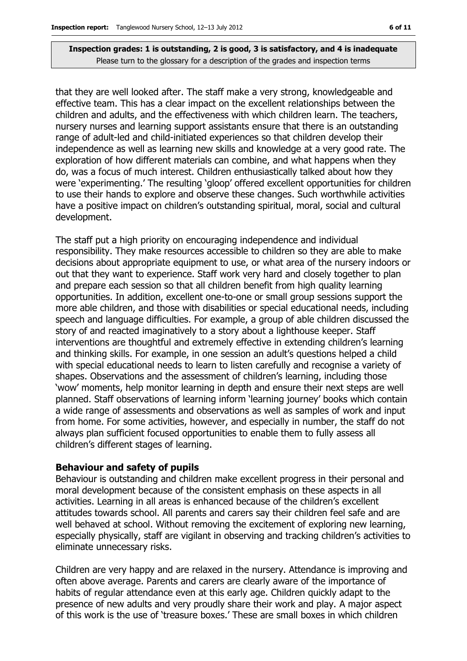that they are well looked after. The staff make a very strong, knowledgeable and effective team. This has a clear impact on the excellent relationships between the children and adults, and the effectiveness with which children learn. The teachers, nursery nurses and learning support assistants ensure that there is an outstanding range of adult-led and child-initiated experiences so that children develop their independence as well as learning new skills and knowledge at a very good rate. The exploration of how different materials can combine, and what happens when they do, was a focus of much interest. Children enthusiastically talked about how they were 'experimenting.' The resulting 'gloop' offered excellent opportunities for children to use their hands to explore and observe these changes. Such worthwhile activities have a positive impact on children's outstanding spiritual, moral, social and cultural development.

The staff put a high priority on encouraging independence and individual responsibility. They make resources accessible to children so they are able to make decisions about appropriate equipment to use, or what area of the nursery indoors or out that they want to experience. Staff work very hard and closely together to plan and prepare each session so that all children benefit from high quality learning opportunities. In addition, excellent one-to-one or small group sessions support the more able children, and those with disabilities or special educational needs, including speech and language difficulties. For example, a group of able children discussed the story of and reacted imaginatively to a story about a lighthouse keeper. Staff interventions are thoughtful and extremely effective in extending children's learning and thinking skills. For example, in one session an adult's questions helped a child with special educational needs to learn to listen carefully and recognise a variety of shapes. Observations and the assessment of children's learning, including those 'wow' moments, help monitor learning in depth and ensure their next steps are well planned. Staff observations of learning inform 'learning journey' books which contain a wide range of assessments and observations as well as samples of work and input from home. For some activities, however, and especially in number, the staff do not always plan sufficient focused opportunities to enable them to fully assess all children's different stages of learning.

#### **Behaviour and safety of pupils**

Behaviour is outstanding and children make excellent progress in their personal and moral development because of the consistent emphasis on these aspects in all activities. Learning in all areas is enhanced because of the children's excellent attitudes towards school. All parents and carers say their children feel safe and are well behaved at school. Without removing the excitement of exploring new learning, especially physically, staff are vigilant in observing and tracking children's activities to eliminate unnecessary risks.

Children are very happy and are relaxed in the nursery. Attendance is improving and often above average. Parents and carers are clearly aware of the importance of habits of regular attendance even at this early age. Children quickly adapt to the presence of new adults and very proudly share their work and play. A major aspect of this work is the use of 'treasure boxes.' These are small boxes in which children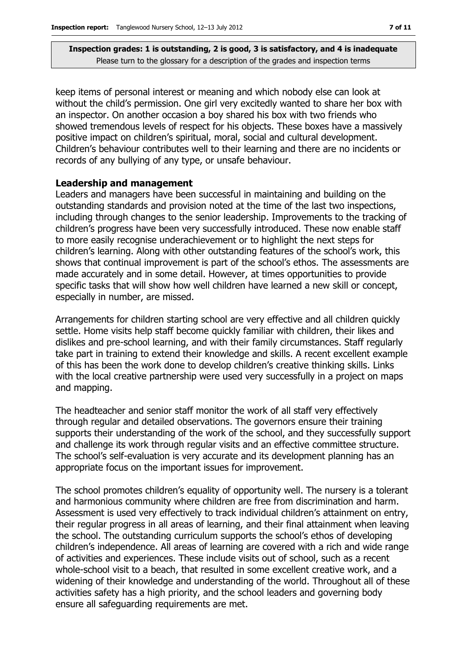keep items of personal interest or meaning and which nobody else can look at without the child's permission. One girl very excitedly wanted to share her box with an inspector. On another occasion a boy shared his box with two friends who showed tremendous levels of respect for his objects. These boxes have a massively positive impact on children's spiritual, moral, social and cultural development. Children's behaviour contributes well to their learning and there are no incidents or records of any bullying of any type, or unsafe behaviour.

#### **Leadership and management**

Leaders and managers have been successful in maintaining and building on the outstanding standards and provision noted at the time of the last two inspections, including through changes to the senior leadership. Improvements to the tracking of children's progress have been very successfully introduced. These now enable staff to more easily recognise underachievement or to highlight the next steps for children's learning. Along with other outstanding features of the school's work, this shows that continual improvement is part of the school's ethos. The assessments are made accurately and in some detail. However, at times opportunities to provide specific tasks that will show how well children have learned a new skill or concept, especially in number, are missed.

Arrangements for children starting school are very effective and all children quickly settle. Home visits help staff become quickly familiar with children, their likes and dislikes and pre-school learning, and with their family circumstances. Staff regularly take part in training to extend their knowledge and skills. A recent excellent example of this has been the work done to develop children's creative thinking skills. Links with the local creative partnership were used very successfully in a project on maps and mapping.

The headteacher and senior staff monitor the work of all staff very effectively through regular and detailed observations. The governors ensure their training supports their understanding of the work of the school, and they successfully support and challenge its work through regular visits and an effective committee structure. The school's self-evaluation is very accurate and its development planning has an appropriate focus on the important issues for improvement.

The school promotes children's equality of opportunity well. The nursery is a tolerant and harmonious community where children are free from discrimination and harm. Assessment is used very effectively to track individual children's attainment on entry, their regular progress in all areas of learning, and their final attainment when leaving the school. The outstanding curriculum supports the school's ethos of developing children's independence. All areas of learning are covered with a rich and wide range of activities and experiences. These include visits out of school, such as a recent whole-school visit to a beach, that resulted in some excellent creative work, and a widening of their knowledge and understanding of the world. Throughout all of these activities safety has a high priority, and the school leaders and governing body ensure all safeguarding requirements are met.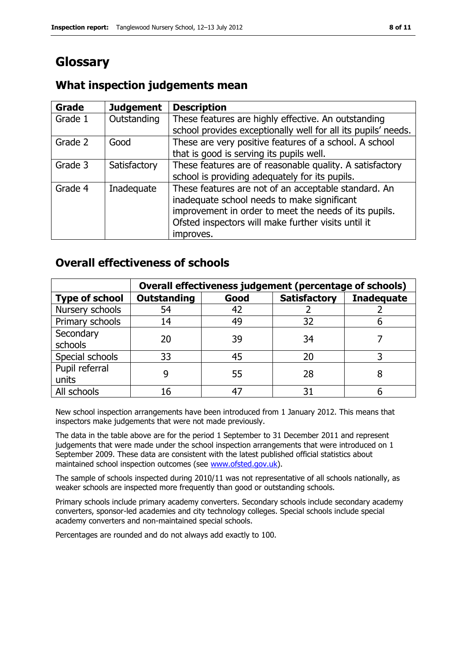# **Glossary**

### **What inspection judgements mean**

| <b>Grade</b> | <b>Judgement</b> | <b>Description</b>                                            |
|--------------|------------------|---------------------------------------------------------------|
| Grade 1      | Outstanding      | These features are highly effective. An outstanding           |
|              |                  | school provides exceptionally well for all its pupils' needs. |
| Grade 2      | Good             | These are very positive features of a school. A school        |
|              |                  | that is good is serving its pupils well.                      |
| Grade 3      | Satisfactory     | These features are of reasonable quality. A satisfactory      |
|              |                  | school is providing adequately for its pupils.                |
| Grade 4      | Inadequate       | These features are not of an acceptable standard. An          |
|              |                  | inadequate school needs to make significant                   |
|              |                  | improvement in order to meet the needs of its pupils.         |
|              |                  | Ofsted inspectors will make further visits until it           |
|              |                  | improves.                                                     |

### **Overall effectiveness of schools**

|                         | Overall effectiveness judgement (percentage of schools) |      |                     |                   |
|-------------------------|---------------------------------------------------------|------|---------------------|-------------------|
| <b>Type of school</b>   | <b>Outstanding</b>                                      | Good | <b>Satisfactory</b> | <b>Inadequate</b> |
| Nursery schools         | 54                                                      | 42   |                     |                   |
| Primary schools         | 14                                                      | 49   | 32                  |                   |
| Secondary<br>schools    | 20                                                      | 39   | 34                  |                   |
| Special schools         | 33                                                      | 45   | 20                  |                   |
| Pupil referral<br>units |                                                         | 55   | 28                  |                   |
| All schools             | 16                                                      |      | 31                  |                   |

New school inspection arrangements have been introduced from 1 January 2012. This means that inspectors make judgements that were not made previously.

The data in the table above are for the period 1 September to 31 December 2011 and represent judgements that were made under the school inspection arrangements that were introduced on 1 September 2009. These data are consistent with the latest published official statistics about maintained school inspection outcomes (see [www.ofsted.gov.uk\)](http://www.ofsted.gov.uk/).

The sample of schools inspected during 2010/11 was not representative of all schools nationally, as weaker schools are inspected more frequently than good or outstanding schools.

Primary schools include primary academy converters. Secondary schools include secondary academy converters, sponsor-led academies and city technology colleges. Special schools include special academy converters and non-maintained special schools.

Percentages are rounded and do not always add exactly to 100.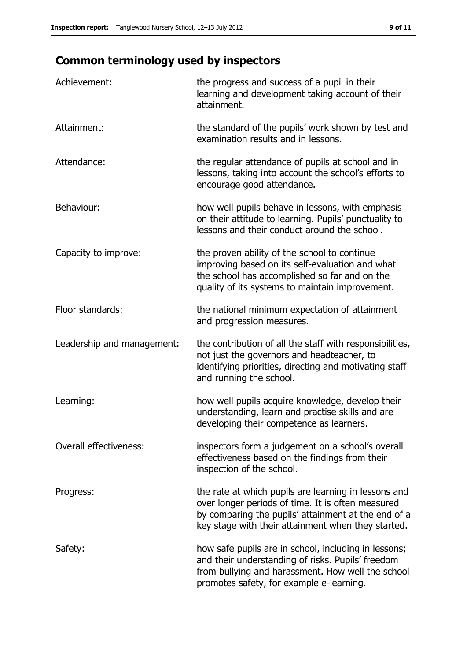# **Common terminology used by inspectors**

| Achievement:               | the progress and success of a pupil in their<br>learning and development taking account of their<br>attainment.                                                                                                        |
|----------------------------|------------------------------------------------------------------------------------------------------------------------------------------------------------------------------------------------------------------------|
| Attainment:                | the standard of the pupils' work shown by test and<br>examination results and in lessons.                                                                                                                              |
| Attendance:                | the regular attendance of pupils at school and in<br>lessons, taking into account the school's efforts to<br>encourage good attendance.                                                                                |
| Behaviour:                 | how well pupils behave in lessons, with emphasis<br>on their attitude to learning. Pupils' punctuality to<br>lessons and their conduct around the school.                                                              |
| Capacity to improve:       | the proven ability of the school to continue<br>improving based on its self-evaluation and what<br>the school has accomplished so far and on the<br>quality of its systems to maintain improvement.                    |
| Floor standards:           | the national minimum expectation of attainment<br>and progression measures.                                                                                                                                            |
| Leadership and management: | the contribution of all the staff with responsibilities,<br>not just the governors and headteacher, to<br>identifying priorities, directing and motivating staff<br>and running the school.                            |
| Learning:                  | how well pupils acquire knowledge, develop their<br>understanding, learn and practise skills and are<br>developing their competence as learners.                                                                       |
| Overall effectiveness:     | inspectors form a judgement on a school's overall<br>effectiveness based on the findings from their<br>inspection of the school.                                                                                       |
| Progress:                  | the rate at which pupils are learning in lessons and<br>over longer periods of time. It is often measured<br>by comparing the pupils' attainment at the end of a<br>key stage with their attainment when they started. |
| Safety:                    | how safe pupils are in school, including in lessons;<br>and their understanding of risks. Pupils' freedom<br>from bullying and harassment. How well the school<br>promotes safety, for example e-learning.             |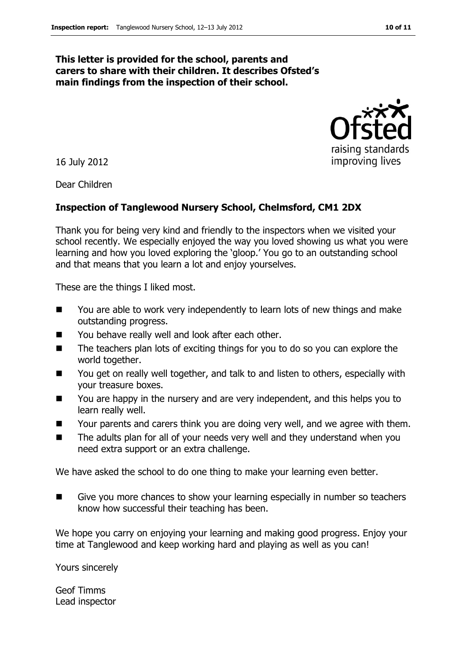#### **This letter is provided for the school, parents and carers to share with their children. It describes Ofsted's main findings from the inspection of their school.**

16 July 2012

Dear Children

#### **Inspection of Tanglewood Nursery School, Chelmsford, CM1 2DX**

Thank you for being very kind and friendly to the inspectors when we visited your school recently. We especially enjoyed the way you loved showing us what you were learning and how you loved exploring the 'gloop.' You go to an outstanding school and that means that you learn a lot and enjoy yourselves.

These are the things I liked most.

- You are able to work very independently to learn lots of new things and make outstanding progress.
- You behave really well and look after each other.
- The teachers plan lots of exciting things for you to do so you can explore the world together.
- You get on really well together, and talk to and listen to others, especially with your treasure boxes.
- You are happy in the nursery and are very independent, and this helps you to learn really well.
- Your parents and carers think you are doing very well, and we agree with them.
- The adults plan for all of your needs very well and they understand when you need extra support or an extra challenge.

We have asked the school to do one thing to make your learning even better.

Give you more chances to show your learning especially in number so teachers know how successful their teaching has been.

We hope you carry on enjoying your learning and making good progress. Enjoy your time at Tanglewood and keep working hard and playing as well as you can!

Yours sincerely

Geof Timms Lead inspector